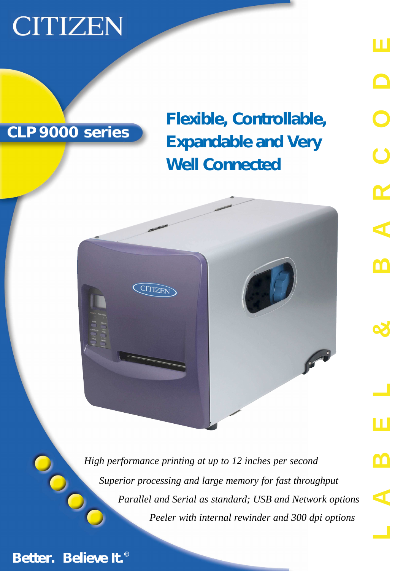## CITIZEN

### **CLP 9000 series**

**Flexible, Controllable, Expandable and Very Well Connected**



*Parallel and Serial as standard; USB and Network options Superior processing and large memory for fast throughput Peeler with internal rewinder and 300 dpi options High performance printing at up to 12 inches per second*<br>Superior processing and large memory for fast through<br> $\frac{1}{2}$   $\frac{1}{2}$   $\frac{1}{2}$   $\frac{1}{2}$   $\frac{1}{2}$   $\frac{1}{2}$   $\frac{1}{2}$   $\frac{1}{2}$   $\frac{1}{2}$   $\frac{1}{2}$   $\frac{1}{2}$ 

**Better. Believe It.©**

**QZ** 

ш

 $\boldsymbol{\Omega}$ 

 $\blacktriangleleft$ 

ш